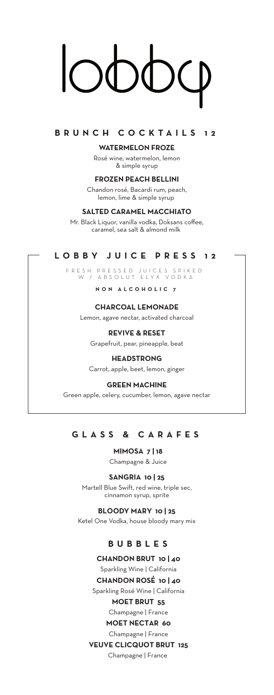## **BRUNCH COCKTAILS 12**

**WATERMELON FROZE**

Rosé wine, watermelon, lemon & simple syrup

**FROZEN PEACH BELLINI** Chandon rosé, Bacardi rum, peach, lemon, lime & simple syrup

## **SALTED CARAMEL MACCHIATO**

Mr. Black Liquor, vanilla vodka, Doksans coffee, caramel, sea salt & almond milk

# **LOBBY JUICE PRESS 12**

FRESH PRESSED JUICES SPIKED W / ABSOLUT ELYX VODKA

**NON ALCOHOLIC 7**

## **CHARCOAL LEMONADE**

Lemon, agave nectar, activated charcoal

## **REVIVE & RESET**

Grapefruit, pear, pineapple, beat **HEADSTRONG**

Carrot, apple, beet, lemon, ginger

## **GREEN MACHINE**

Green apple, celery, cucumber, lemon, agave nectar

# **GLASS & C ARAFE S**

**MIMOSA 7 | 18** Champagne & Juice

#### **SANGRIA 10 | 25**

Martell Blue Swift, red wine, triple sec, cinnamon syrup, sprite

# **BLOODY MARY 10 | 25**

Ketel One Vodka, house bloody mary mix

# **BUBBLES**

- **CHANDON BRUT 10 | 40**
- Sparkling Wine | California

**CHANDON ROSÉ 10 | 40** Sparkling Rosé Wine | California

## **MOET BRUT 55** Champagne | France

**MOET NECTAR 60**

# Champagne | France

## **VEUVE CLICQUOT BRUT 125**

Champagne | France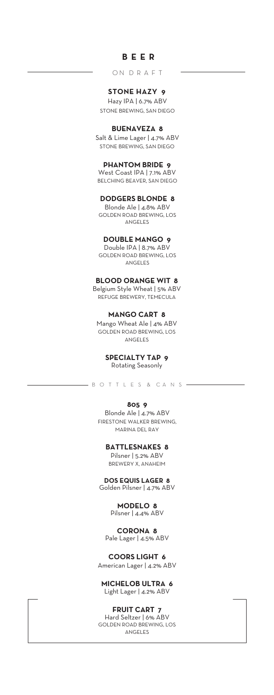## **B EER**

O N D R A F T

## **STONE HAZY 9**

Hazy IPA | 6.7% ABV STONE BREWING, SAN DIEGO

## **BUENAVEZA 8**

Salt & Lime Lager | 4.7% ABV STONE BREWING, SAN DIEGO

### **PHANTOM BRIDE 9**

West Coast IPA | 7.1% ABV BELCHING BEAVER, SAN DIEGO

#### **DODGERS BLONDE 8**

Blonde Ale | 4.8% ABV GOLDEN ROAD BREWING, LOS ANGELES

## **DOUBLE MANGO 9**

Double IPA | 8.7% ABV GOLDEN ROAD BREWING, LOS ANGELES

#### **BLOOD ORANGE WIT 8**

Belgium Style Wheat | 5% ABV REFUGE BREWERY, TEMECULA

## **MANGO CART 8**

Mango Wheat Ale | 4% ABV GOLDEN ROAD BREWING, LOS ANGELES

## **SPECIALTY TAP 9**

Rotating Seasonly

-- B O T T L E S & C A N S -

#### **805 9**

Blonde Ale | 4.7% ABV FIRESTONE WALKER BREWING, MARINA DEL RAY

### **BATTLESNAKES 8**

Pilsner | 5.2% ABV BREWERY X, ANAHEIM

**DOS EQUIS LAGER 8** Golden Pilsner | 4.7% ABV

#### **MODELO 8** Pilsner | 4.4% ABV

**CORONA 8** Pale Lager | 4.5% ABV

**COORS LIGHT 6**  American Lager | 4.2% ABV

#### **MICHELOB ULTRA 6**  Light Lager | 4.2% ABV

#### **FRUIT CART 7**

Hard Seltzer | 6% ABV GOLDEN ROAD BREWING, LOS ANGELES